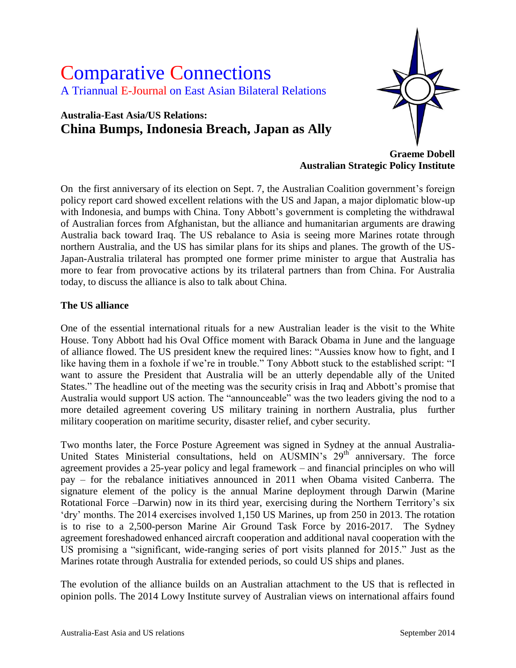# Comparative Connections A Triannual E-Journal on East Asian Bilateral Relations

# **Australia-East Asia/US Relations: China Bumps, Indonesia Breach, Japan as Ally**



**Graeme Dobell Australian Strategic Policy Institute**

On the first anniversary of its election on Sept. 7, the Australian Coalition government"s foreign policy report card showed excellent relations with the US and Japan, a major diplomatic blow-up with Indonesia, and bumps with China. Tony Abbott's government is completing the withdrawal of Australian forces from Afghanistan, but the alliance and humanitarian arguments are drawing Australia back toward Iraq. The US rebalance to Asia is seeing more Marines rotate through northern Australia, and the US has similar plans for its ships and planes. The growth of the US-Japan-Australia trilateral has prompted one former prime minister to argue that Australia has more to fear from provocative actions by its trilateral partners than from China. For Australia today, to discuss the alliance is also to talk about China.

# **The US alliance**

One of the essential international rituals for a new Australian leader is the visit to the White House. Tony Abbott had his Oval Office moment with Barack Obama in June and the language of alliance flowed. The US president knew the required lines: "Aussies know how to fight, and I like having them in a foxhole if we're in trouble." Tony Abbott stuck to the established script: "I want to assure the President that Australia will be an utterly dependable ally of the United States." The headline out of the meeting was the security crisis in Iraq and Abbott's promise that Australia would support US action. The "announceable" was the two leaders giving the nod to a more detailed agreement covering US military training in northern Australia, plus further military cooperation on maritime security, disaster relief, and cyber security.

Two months later, the Force Posture Agreement was signed in Sydney at the annual Australia-United States Ministerial consultations, held on  $\text{AUSMIN's } 29^{\text{th}}$  anniversary. The force agreement provides a 25-year policy and legal framework – and financial principles on who will pay – for the rebalance initiatives announced in 2011 when Obama visited Canberra. The signature element of the policy is the annual Marine deployment through Darwin (Marine Rotational Force –Darwin) now in its third year, exercising during the Northern Territory's six 'dry' months. The 2014 exercises involved 1,150 US Marines, up from 250 in 2013. The rotation is to rise to a 2,500-person Marine Air Ground Task Force by 2016-2017. The Sydney agreement foreshadowed enhanced aircraft cooperation and additional naval cooperation with the US promising a "significant, wide-ranging series of port visits planned for 2015." Just as the Marines rotate through Australia for extended periods, so could US ships and planes.

The evolution of the alliance builds on an Australian attachment to the US that is reflected in opinion polls. The 2014 Lowy Institute survey of Australian views on international affairs found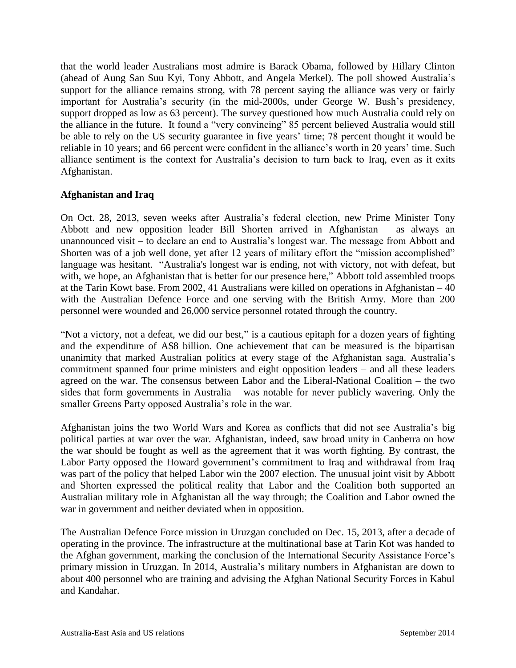that the world leader Australians most admire is Barack Obama, followed by Hillary Clinton (ahead of Aung San Suu Kyi, Tony Abbott, and Angela Merkel). The poll showed Australia"s support for the alliance remains strong, with 78 percent saying the alliance was very or fairly important for Australia's security (in the mid-2000s, under George W. Bush's presidency, support dropped as low as 63 percent). The survey questioned how much Australia could rely on the alliance in the future. It found a "very convincing" 85 percent believed Australia would still be able to rely on the US security guarantee in five years' time; 78 percent thought it would be reliable in 10 years; and 66 percent were confident in the alliance's worth in 20 years' time. Such alliance sentiment is the context for Australia"s decision to turn back to Iraq, even as it exits Afghanistan.

# **Afghanistan and Iraq**

On Oct. 28, 2013, seven weeks after Australia"s federal election, new Prime Minister Tony Abbott and new opposition leader Bill Shorten arrived in Afghanistan – as always an unannounced visit – to declare an end to Australia"s longest war. The message from Abbott and Shorten was of a job well done, yet after 12 years of military effort the "mission accomplished" language was hesitant. "Australia's longest war is ending, not with victory, not with defeat, but with, we hope, an Afghanistan that is better for our presence here," Abbott told assembled troops at the Tarin Kowt base. From 2002, 41 Australians were killed on operations in Afghanistan – 40 with the Australian Defence Force and one serving with the British Army. More than 200 personnel were wounded and 26,000 service personnel rotated through the country.

"Not a victory, not a defeat, we did our best," is a cautious epitaph for a dozen years of fighting and the expenditure of A\$8 billion. One achievement that can be measured is the bipartisan unanimity that marked Australian politics at every stage of the Afghanistan saga. Australia"s commitment spanned four prime ministers and eight opposition leaders – and all these leaders agreed on the war. The consensus between Labor and the Liberal-National Coalition – the two sides that form governments in Australia – was notable for never publicly wavering. Only the smaller Greens Party opposed Australia's role in the war.

Afghanistan joins the two World Wars and Korea as conflicts that did not see Australia"s big political parties at war over the war. Afghanistan, indeed, saw broad unity in Canberra on how the war should be fought as well as the agreement that it was worth fighting. By contrast, the Labor Party opposed the Howard government's commitment to Iraq and withdrawal from Iraq was part of the policy that helped Labor win the 2007 election. The unusual joint visit by Abbott and Shorten expressed the political reality that Labor and the Coalition both supported an Australian military role in Afghanistan all the way through; the Coalition and Labor owned the war in government and neither deviated when in opposition.

The Australian Defence Force mission in Uruzgan concluded on Dec. 15, 2013, after a decade of operating in the province. The infrastructure at the multinational base at Tarin Kot was handed to the Afghan government, marking the conclusion of the International Security Assistance Force"s primary mission in Uruzgan. In 2014, Australia"s military numbers in Afghanistan are down to about 400 personnel who are training and advising the Afghan National Security Forces in Kabul and Kandahar.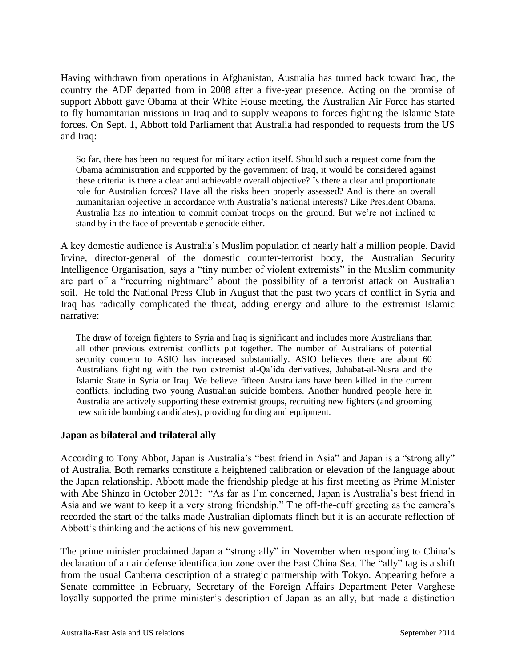Having withdrawn from operations in Afghanistan, Australia has turned back toward Iraq, the country the ADF departed from in 2008 after a five-year presence. Acting on the promise of support Abbott gave Obama at their White House meeting, the Australian Air Force has started to fly humanitarian missions in Iraq and to supply weapons to forces fighting the Islamic State forces. On Sept. 1, Abbott told Parliament that Australia had responded to requests from the US and Iraq:

So far, there has been no request for military action itself. Should such a request come from the Obama administration and supported by the government of Iraq, it would be considered against these criteria: is there a clear and achievable overall objective? Is there a clear and proportionate role for Australian forces? Have all the risks been properly assessed? And is there an overall humanitarian objective in accordance with Australia"s national interests? Like President Obama, Australia has no intention to commit combat troops on the ground. But we"re not inclined to stand by in the face of preventable genocide either.

A key domestic audience is Australia"s Muslim population of nearly half a million people. David Irvine, director-general of the domestic counter-terrorist body, the Australian Security Intelligence Organisation, says a "tiny number of violent extremists" in the Muslim community are part of a "recurring nightmare" about the possibility of a terrorist attack on Australian soil. He told the National Press Club in August that the past two years of conflict in Syria and Iraq has radically complicated the threat, adding energy and allure to the extremist Islamic narrative:

The draw of foreign fighters to Syria and Iraq is significant and includes more Australians than all other previous extremist conflicts put together. The number of Australians of potential security concern to ASIO has increased substantially. ASIO believes there are about 60 Australians fighting with the two extremist al-Qa"ida derivatives, Jahabat-al-Nusra and the Islamic State in Syria or Iraq. We believe fifteen Australians have been killed in the current conflicts, including two young Australian suicide bombers. Another hundred people here in Australia are actively supporting these extremist groups, recruiting new fighters (and grooming new suicide bombing candidates), providing funding and equipment.

# **Japan as bilateral and trilateral ally**

According to Tony Abbot, Japan is Australia's "best friend in Asia" and Japan is a "strong ally" of Australia. Both remarks constitute a heightened calibration or elevation of the language about the Japan relationship. Abbott made the friendship pledge at his first meeting as Prime Minister with Abe Shinzo in October 2013: "As far as I'm concerned, Japan is Australia's best friend in Asia and we want to keep it a very strong friendship." The off-the-cuff greeting as the camera"s recorded the start of the talks made Australian diplomats flinch but it is an accurate reflection of Abbott's thinking and the actions of his new government.

The prime minister proclaimed Japan a "strong ally" in November when responding to China"s declaration of an air defense identification zone over the East China Sea. The "ally" tag is a shift from the usual Canberra description of a strategic partnership with Tokyo. Appearing before a Senate committee in February, Secretary of the Foreign Affairs Department Peter Varghese loyally supported the prime minister's description of Japan as an ally, but made a distinction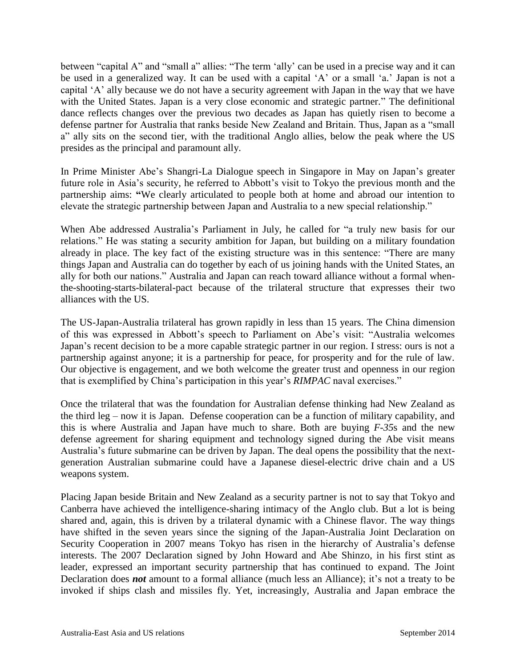between "capital A" and "small a" allies: "The term "ally" can be used in a precise way and it can be used in a generalized way. It can be used with a capital 'A' or a small 'a.' Japan is not a capital "A" ally because we do not have a security agreement with Japan in the way that we have with the United States. Japan is a very close economic and strategic partner." The definitional dance reflects changes over the previous two decades as Japan has quietly risen to become a defense partner for Australia that ranks beside New Zealand and Britain. Thus, Japan as a "small a" ally sits on the second tier, with the traditional Anglo allies, below the peak where the US presides as the principal and paramount ally.

In Prime Minister Abe"s Shangri-La Dialogue speech in Singapore in May on Japan"s greater future role in Asia"s security, he referred to Abbott"s visit to Tokyo the previous month and the partnership aims: **"**We clearly articulated to people both at home and abroad our intention to elevate the strategic partnership between Japan and Australia to a new special relationship."

When Abe addressed Australia"s Parliament in July, he called for "a truly new basis for our relations." He was stating a security ambition for Japan, but building on a military foundation already in place. The key fact of the existing structure was in this sentence: "There are many things Japan and Australia can do together by each of us joining hands with the United States, an ally for both our nations." Australia and Japan can reach toward alliance without a formal whenthe-shooting-starts-bilateral-pact because of the trilateral structure that expresses their two alliances with the US.

The US-Japan-Australia trilateral has grown rapidly in less than 15 years. The China dimension of this was expressed in Abbott"s speech to Parliament on Abe"s visit: "Australia welcomes Japan"s recent decision to be a more capable strategic partner in our region. I stress: ours is not a partnership against anyone; it is a partnership for peace, for prosperity and for the rule of law. Our objective is engagement, and we both welcome the greater trust and openness in our region that is exemplified by China"s participation in this year"s *RIMPAC* naval exercises."

Once the trilateral that was the foundation for Australian defense thinking had New Zealand as the third leg – now it is Japan. Defense cooperation can be a function of military capability, and this is where Australia and Japan have much to share. Both are buying *F-35*s and the new defense agreement for sharing equipment and technology signed during the Abe visit means Australia"s future submarine can be driven by Japan. The deal opens the possibility that the nextgeneration Australian submarine could have a Japanese diesel-electric drive chain and a US weapons system.

Placing Japan beside Britain and New Zealand as a security partner is not to say that Tokyo and Canberra have achieved the intelligence-sharing intimacy of the Anglo club. But a lot is being shared and, again, this is driven by a trilateral dynamic with a Chinese flavor. The way things have shifted in the seven years since the signing of the Japan-Australia Joint Declaration on Security Cooperation in 2007 means Tokyo has risen in the hierarchy of Australia"s defense interests. The 2007 Declaration signed by John Howard and Abe Shinzo, in his first stint as leader, expressed an important security partnership that has continued to expand. The Joint Declaration does **not** amount to a formal alliance (much less an Alliance); it's not a treaty to be invoked if ships clash and missiles fly. Yet, increasingly, Australia and Japan embrace the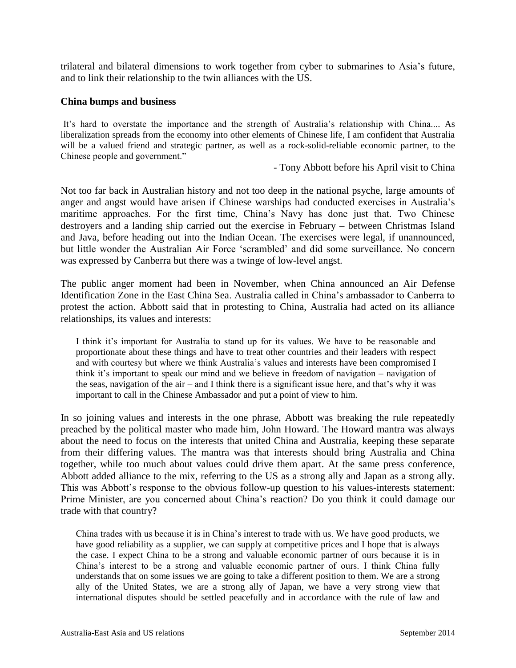trilateral and bilateral dimensions to work together from cyber to submarines to Asia"s future, and to link their relationship to the twin alliances with the US.

#### **China bumps and business**

It's hard to overstate the importance and the strength of Australia's relationship with China.... As liberalization spreads from the economy into other elements of Chinese life, I am confident that Australia will be a valued friend and strategic partner, as well as a rock-solid-reliable economic partner, to the Chinese people and government."

- Tony Abbott before his April visit to China

Not too far back in Australian history and not too deep in the national psyche, large amounts of anger and angst would have arisen if Chinese warships had conducted exercises in Australia"s maritime approaches. For the first time, China"s Navy has done just that. Two Chinese destroyers and a landing ship carried out the exercise in February – between Christmas Island and Java, before heading out into the Indian Ocean. The exercises were legal, if unannounced, but little wonder the Australian Air Force "scrambled" and did some surveillance. No concern was expressed by Canberra but there was a twinge of low-level angst.

The public anger moment had been in November, when China announced an Air Defense Identification Zone in the East China Sea. Australia called in China"s ambassador to Canberra to protest the action. Abbott said that in protesting to China, Australia had acted on its alliance relationships, its values and interests:

I think it's important for Australia to stand up for its values. We have to be reasonable and proportionate about these things and have to treat other countries and their leaders with respect and with courtesy but where we think Australia"s values and interests have been compromised I think it's important to speak our mind and we believe in freedom of navigation – navigation of the seas, navigation of the air – and I think there is a significant issue here, and that"s why it was important to call in the Chinese Ambassador and put a point of view to him.

In so joining values and interests in the one phrase, Abbott was breaking the rule repeatedly preached by the political master who made him, John Howard. The Howard mantra was always about the need to focus on the interests that united China and Australia, keeping these separate from their differing values. The mantra was that interests should bring Australia and China together, while too much about values could drive them apart. At the same press conference, Abbott added alliance to the mix, referring to the US as a strong ally and Japan as a strong ally. This was Abbott"s response to the obvious follow-up question to his values-interests statement: Prime Minister, are you concerned about China"s reaction? Do you think it could damage our trade with that country?

China trades with us because it is in China"s interest to trade with us. We have good products, we have good reliability as a supplier, we can supply at competitive prices and I hope that is always the case. I expect China to be a strong and valuable economic partner of ours because it is in China"s interest to be a strong and valuable economic partner of ours. I think China fully understands that on some issues we are going to take a different position to them. We are a strong ally of the United States, we are a strong ally of Japan, we have a very strong view that international disputes should be settled peacefully and in accordance with the rule of law and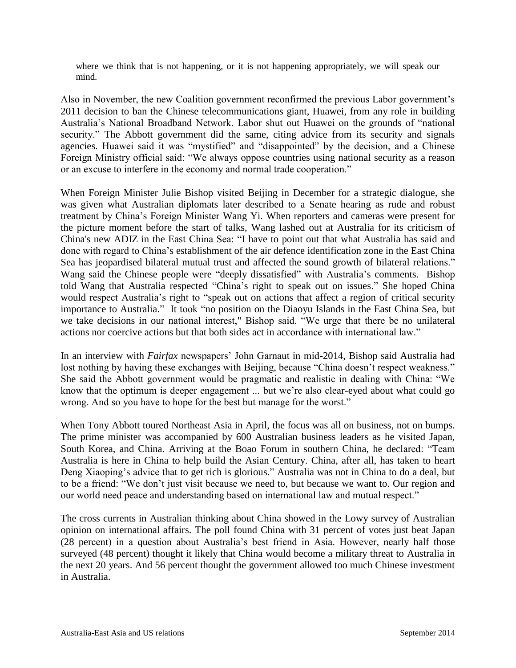where we think that is not happening, or it is not happening appropriately, we will speak our mind.

Also in November, the new Coalition government reconfirmed the previous Labor government"s 2011 decision to ban the Chinese telecommunications giant, Huawei, from any role in building Australia"s National Broadband Network. Labor shut out Huawei on the grounds of "national security." The Abbott government did the same, citing advice from its security and signals agencies. Huawei said it was "mystified" and "disappointed" by the decision, and a Chinese Foreign Ministry official said: "We always oppose countries using national security as a reason or an excuse to interfere in the economy and normal trade cooperation."

When Foreign Minister Julie Bishop visited Beijing in December for a strategic dialogue, she was given what Australian diplomats later described to a Senate hearing as rude and robust treatment by China"s Foreign Minister Wang Yi. When reporters and cameras were present for the picture moment before the start of talks, Wang lashed out at Australia for its criticism of China's new ADIZ in the East China Sea: "I have to point out that what Australia has said and done with regard to China"s establishment of the air defence identification zone in the East China Sea has jeopardised bilateral mutual trust and affected the sound growth of bilateral relations." Wang said the Chinese people were "deeply dissatisfied" with Australia's comments. Bishop told Wang that Australia respected "China"s right to speak out on issues." She hoped China would respect Australia's right to "speak out on actions that affect a region of critical security importance to Australia." It took "no position on the Diaoyu Islands in the East China Sea, but we take decisions in our national interest," Bishop said. "We urge that there be no unilateral actions nor coercive actions but that both sides act in accordance with international law."

In an interview with *Fairfax* newspapers" John Garnaut in mid-2014, Bishop said Australia had lost nothing by having these exchanges with Beijing, because "China doesn't respect weakness." She said the Abbott government would be pragmatic and realistic in dealing with China: "We know that the optimum is deeper engagement ... but we"re also clear-eyed about what could go wrong. And so you have to hope for the best but manage for the worst."

When Tony Abbott toured Northeast Asia in April, the focus was all on business, not on bumps. The prime minister was accompanied by 600 Australian business leaders as he visited Japan, South Korea, and China. Arriving at the Boao Forum in southern China, he declared: "Team Australia is here in China to help build the Asian Century. China, after all, has taken to heart Deng Xiaoping's advice that to get rich is glorious." Australia was not in China to do a deal, but to be a friend: "We don"t just visit because we need to, but because we want to. Our region and our world need peace and understanding based on international law and mutual respect."

The cross currents in Australian thinking about China showed in the Lowy survey of Australian opinion on international affairs. The poll found China with 31 percent of votes just beat Japan (28 percent) in a question about Australia"s best friend in Asia. However, nearly half those surveyed (48 percent) thought it likely that China would become a military threat to Australia in the next 20 years. And 56 percent thought the government allowed too much Chinese investment in Australia.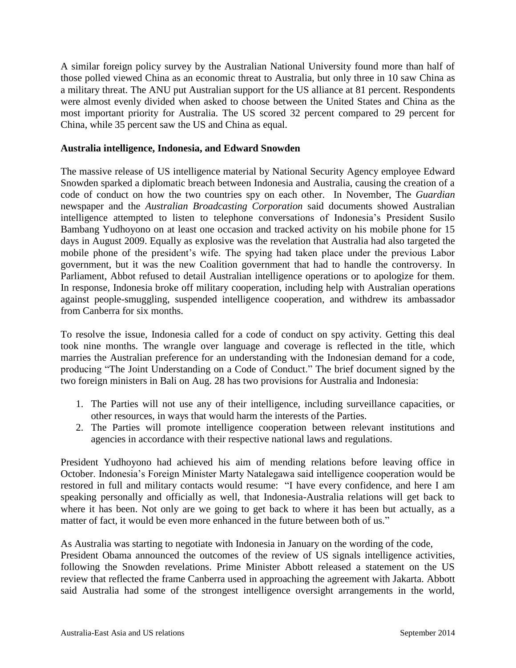A similar foreign policy survey by the Australian National University found more than half of those polled viewed China as an economic threat to Australia, but only three in 10 saw China as a military threat. The ANU put Australian support for the US alliance at 81 percent. Respondents were almost evenly divided when asked to choose between the United States and China as the most important priority for Australia. The US scored 32 percent compared to 29 percent for China, while 35 percent saw the US and China as equal.

# **Australia intelligence, Indonesia, and Edward Snowden**

The massive release of US intelligence material by National Security Agency employee Edward Snowden sparked a diplomatic breach between Indonesia and Australia, causing the creation of a code of conduct on how the two countries spy on each other. In November, The *Guardian* newspaper and the *Australian Broadcasting Corporation* said documents showed Australian intelligence attempted to listen to telephone conversations of Indonesia"s President Susilo Bambang Yudhoyono on at least one occasion and tracked activity on his mobile phone for 15 days in August 2009. Equally as explosive was the revelation that Australia had also targeted the mobile phone of the president's wife. The spying had taken place under the previous Labor government, but it was the new Coalition government that had to handle the controversy. In Parliament, Abbot refused to detail Australian intelligence operations or to apologize for them. In response, Indonesia broke off military cooperation, including help with Australian operations against people-smuggling, suspended intelligence cooperation, and withdrew its ambassador from Canberra for six months.

To resolve the issue, Indonesia called for a code of conduct on spy activity. Getting this deal took nine months. The wrangle over language and coverage is reflected in the title, which marries the Australian preference for an understanding with the Indonesian demand for a code, producing "The Joint Understanding on a Code of Conduct." The brief document signed by the two foreign ministers in Bali on Aug. 28 has two provisions for Australia and Indonesia:

- 1. The Parties will not use any of their intelligence, including surveillance capacities, or other resources, in ways that would harm the interests of the Parties.
- 2. The Parties will promote intelligence cooperation between relevant institutions and agencies in accordance with their respective national laws and regulations.

President Yudhoyono had achieved his aim of mending relations before leaving office in October. Indonesia"s Foreign Minister Marty Natalegawa said intelligence cooperation would be restored in full and military contacts would resume: "I have every confidence, and here I am speaking personally and officially as well, that Indonesia-Australia relations will get back to where it has been. Not only are we going to get back to where it has been but actually, as a matter of fact, it would be even more enhanced in the future between both of us."

As Australia was starting to negotiate with Indonesia in January on the wording of the code,

President Obama announced the outcomes of the review of US signals intelligence activities, following the Snowden revelations. Prime Minister Abbott released a statement on the US review that reflected the frame Canberra used in approaching the agreement with Jakarta. Abbott said Australia had some of the strongest intelligence oversight arrangements in the world,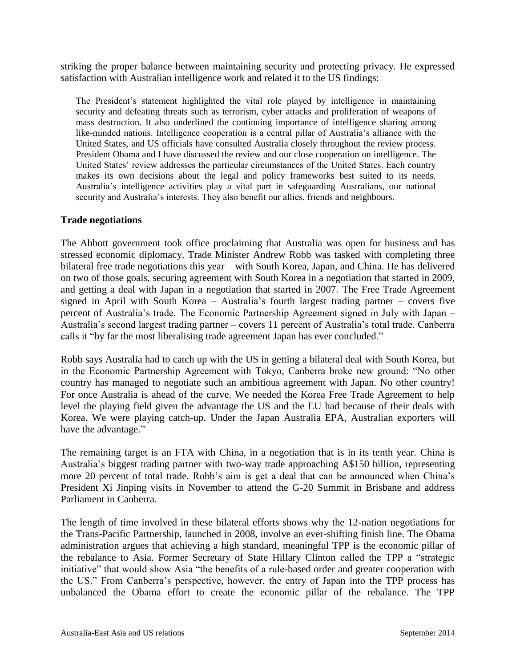striking the proper balance between maintaining security and protecting privacy. He expressed satisfaction with Australian intelligence work and related it to the US findings:

The President's statement highlighted the vital role played by intelligence in maintaining security and defeating threats such as terrorism, cyber attacks and proliferation of weapons of mass destruction. It also underlined the continuing importance of intelligence sharing among like-minded nations. Intelligence cooperation is a central pillar of Australia"s alliance with the United States, and US officials have consulted Australia closely throughout the review process. President Obama and I have discussed the review and our close cooperation on intelligence. The United States" review addresses the particular circumstances of the United States. Each country makes its own decisions about the legal and policy frameworks best suited to its needs. Australia"s intelligence activities play a vital part in safeguarding Australians, our national security and Australia"s interests. They also benefit our allies, friends and neighbours.

# **Trade negotiations**

The Abbott government took office proclaiming that Australia was open for business and has stressed economic diplomacy. Trade Minister Andrew Robb was tasked with completing three bilateral free trade negotiations this year – with South Korea, Japan, and China. He has delivered on two of those goals, securing agreement with South Korea in a negotiation that started in 2009, and getting a deal with Japan in a negotiation that started in 2007. The Free Trade Agreement signed in April with South Korea – Australia"s fourth largest trading partner – covers five percent of Australia"s trade. The Economic Partnership Agreement signed in July with Japan – Australia"s second largest trading partner – covers 11 percent of Australia"s total trade. Canberra calls it "by far the most liberalising trade agreement Japan has ever concluded."

Robb says Australia had to catch up with the US in getting a bilateral deal with South Korea, but in the Economic Partnership Agreement with Tokyo, Canberra broke new ground: "No other country has managed to negotiate such an ambitious agreement with Japan. No other country! For once Australia is ahead of the curve. We needed the Korea Free Trade Agreement to help level the playing field given the advantage the US and the EU had because of their deals with Korea. We were playing catch-up. Under the Japan Australia EPA, Australian exporters will have the advantage."

The remaining target is an FTA with China, in a negotiation that is in its tenth year. China is Australia"s biggest trading partner with two-way trade approaching A\$150 billion, representing more 20 percent of total trade. Robb"s aim is get a deal that can be announced when China"s President Xi Jinping visits in November to attend the G-20 Summit in Brisbane and address Parliament in Canberra.

The length of time involved in these bilateral efforts shows why the 12-nation negotiations for the Trans-Pacific Partnership, launched in 2008, involve an ever-shifting finish line. The Obama administration argues that achieving a high standard, meaningful TPP is the economic pillar of the rebalance to Asia. Former Secretary of State Hillary Clinton called the TPP a "strategic initiative" that would show Asia "the benefits of a rule-based order and greater cooperation with the US." From Canberra"s perspective, however, the entry of Japan into the TPP process has unbalanced the Obama effort to create the economic pillar of the rebalance. The TPP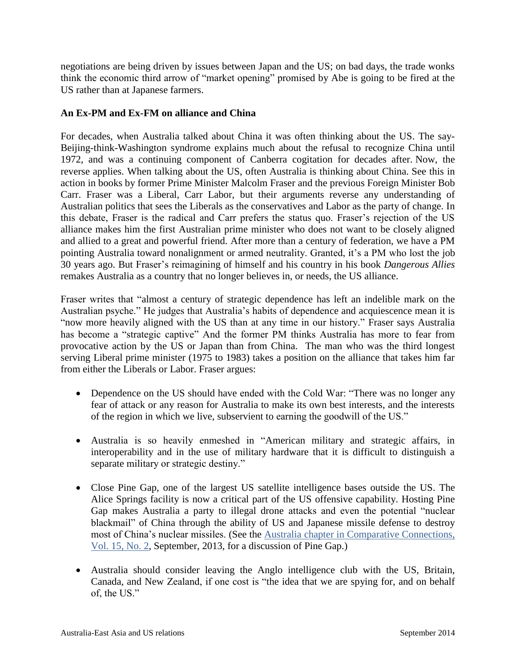negotiations are being driven by issues between Japan and the US; on bad days, the trade wonks think the economic third arrow of "market opening" promised by Abe is going to be fired at the US rather than at Japanese farmers.

# **An Ex-PM and Ex-FM on alliance and China**

For decades, when Australia talked about China it was often thinking about the US. The say-Beijing-think-Washington syndrome explains much about the refusal to recognize China until 1972, and was a continuing component of Canberra cogitation for decades after. Now, the reverse applies. When talking about the US, often Australia is thinking about China. See this in action in books by former Prime Minister Malcolm Fraser and the previous Foreign Minister Bob Carr. Fraser was a Liberal, Carr Labor, but their arguments reverse any understanding of Australian politics that sees the Liberals as the conservatives and Labor as the party of change. In this debate, Fraser is the radical and Carr prefers the status quo. Fraser"s rejection of the US alliance makes him the first Australian prime minister who does not want to be closely aligned and allied to a great and powerful friend. After more than a century of federation, we have a PM pointing Australia toward nonalignment or armed neutrality. Granted, it's a PM who lost the job 30 years ago. But Fraser"s reimagining of himself and his country in his book *Dangerous Allies* remakes Australia as a country that no longer believes in, or needs, the US alliance.

Fraser writes that "almost a century of strategic dependence has left an indelible mark on the Australian psyche." He judges that Australia's habits of dependence and acquiescence mean it is "now more heavily aligned with the US than at any time in our history." Fraser says Australia has become a "strategic captive" And the former PM thinks Australia has more to fear from provocative action by the US or Japan than from China. The man who was the third longest serving Liberal prime minister (1975 to 1983) takes a position on the alliance that takes him far from either the Liberals or Labor. Fraser argues:

- Dependence on the US should have ended with the Cold War: "There was no longer any fear of attack or any reason for Australia to make its own best interests, and the interests of the region in which we live, subservient to earning the goodwill of the US."
- Australia is so heavily enmeshed in "American military and strategic affairs, in interoperability and in the use of military hardware that it is difficult to distinguish a separate military or strategic destiny."
- Close Pine Gap, one of the largest US satellite intelligence bases outside the US. The Alice Springs facility is now a critical part of the US offensive capability. Hosting Pine Gap makes Australia a party to illegal drone attacks and even the potential "nuclear blackmail" of China through the ability of US and Japanese missile defense to destroy most of China"s nuclear missiles. (See the Australia chapter [in Comparative Connections,](http://csis.org/node/46700)  [Vol. 15, No. 2,](http://csis.org/node/46700) September, 2013, for a discussion of Pine Gap.)
- Australia should consider leaving the Anglo intelligence club with the US, Britain, Canada, and New Zealand, if one cost is "the idea that we are spying for, and on behalf of, the US."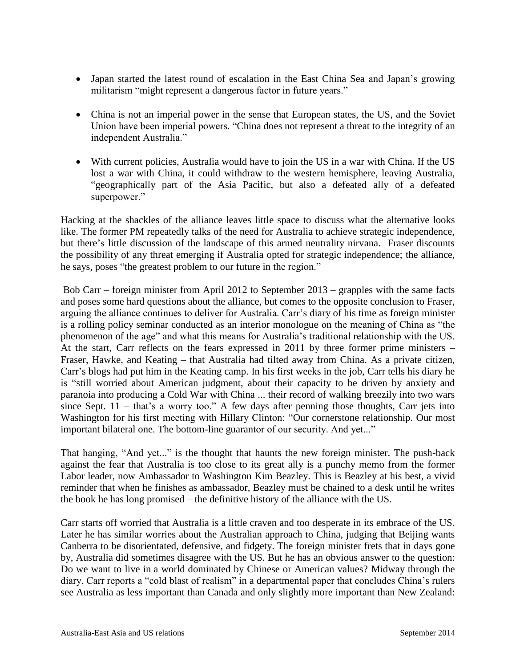- Japan started the latest round of escalation in the East China Sea and Japan's growing militarism "might represent a dangerous factor in future years."
- China is not an imperial power in the sense that European states, the US, and the Soviet Union have been imperial powers. "China does not represent a threat to the integrity of an independent Australia."
- With current policies, Australia would have to join the US in a war with China. If the US lost a war with China, it could withdraw to the western hemisphere, leaving Australia, "geographically part of the Asia Pacific, but also a defeated ally of a defeated superpower."

Hacking at the shackles of the alliance leaves little space to discuss what the alternative looks like. The former PM repeatedly talks of the need for Australia to achieve strategic independence, but there"s little discussion of the landscape of this armed neutrality nirvana. Fraser discounts the possibility of any threat emerging if Australia opted for strategic independence; the alliance, he says, poses "the greatest problem to our future in the region."

Bob Carr – foreign minister from April 2012 to September 2013 – grapples with the same facts and poses some hard questions about the alliance, but comes to the opposite conclusion to Fraser, arguing the alliance continues to deliver for Australia. Carr"s diary of his time as foreign minister is a rolling policy seminar conducted as an interior monologue on the meaning of China as "the phenomenon of the age" and what this means for Australia"s traditional relationship with the US. At the start, Carr reflects on the fears expressed in 2011 by three former prime ministers – Fraser, Hawke, and Keating – that Australia had tilted away from China. As a private citizen, Carr"s blogs had put him in the Keating camp. In his first weeks in the job, Carr tells his diary he is "still worried about American judgment, about their capacity to be driven by anxiety and paranoia into producing a Cold War with China ... their record of walking breezily into two wars since Sept.  $11 - \text{that's a worry too."}$  A few days after penning those thoughts, Carr jets into Washington for his first meeting with Hillary Clinton: "Our cornerstone relationship. Our most important bilateral one. The bottom-line guarantor of our security. And yet..."

That hanging, "And yet..." is the thought that haunts the new foreign minister. The push-back against the fear that Australia is too close to its great ally is a punchy memo from the former Labor leader, now Ambassador to Washington Kim Beazley. This is Beazley at his best, a vivid reminder that when he finishes as ambassador, Beazley must be chained to a desk until he writes the book he has long promised – the definitive history of the alliance with the US.

Carr starts off worried that Australia is a little craven and too desperate in its embrace of the US. Later he has similar worries about the Australian approach to China, judging that Beijing wants Canberra to be disorientated, defensive, and fidgety. The foreign minister frets that in days gone by, Australia did sometimes disagree with the US. But he has an obvious answer to the question: Do we want to live in a world dominated by Chinese or American values? Midway through the diary, Carr reports a "cold blast of realism" in a departmental paper that concludes China"s rulers see Australia as less important than Canada and only slightly more important than New Zealand: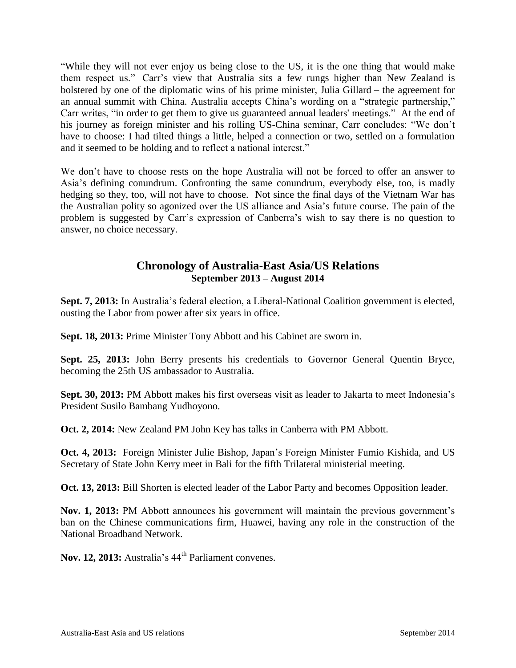"While they will not ever enjoy us being close to the US, it is the one thing that would make them respect us." Carr"s view that Australia sits a few rungs higher than New Zealand is bolstered by one of the diplomatic wins of his prime minister, Julia Gillard – the agreement for an annual summit with China. Australia accepts China"s wording on a "strategic partnership," Carr writes, "in order to get them to give us guaranteed annual leaders' meetings." At the end of his journey as foreign minister and his rolling US-China seminar, Carr concludes: "We don't have to choose: I had tilted things a little, helped a connection or two, settled on a formulation and it seemed to be holding and to reflect a national interest."

We don"t have to choose rests on the hope Australia will not be forced to offer an answer to Asia"s defining conundrum. Confronting the same conundrum, everybody else, too, is madly hedging so they, too, will not have to choose. Not since the final days of the Vietnam War has the Australian polity so agonized over the US alliance and Asia"s future course. The pain of the problem is suggested by Carr"s expression of Canberra"s wish to say there is no question to answer, no choice necessary.

# **Chronology of Australia-East Asia/US Relations September 2013 – August 2014**

Sept. 7, 2013: In Australia's federal election, a Liberal-National Coalition government is elected, ousting the Labor from power after six years in office.

**Sept. 18, 2013:** Prime Minister Tony Abbott and his Cabinet are sworn in.

**Sept. 25, 2013:** John Berry presents his credentials to Governor General Quentin Bryce, becoming the 25th US ambassador to Australia.

**Sept. 30, 2013:** PM Abbott makes his first overseas visit as leader to Jakarta to meet Indonesia"s President Susilo Bambang Yudhoyono.

**Oct. 2, 2014:** New Zealand PM John Key has talks in Canberra with PM Abbott.

**Oct. 4, 2013:** Foreign Minister Julie Bishop, Japan's Foreign Minister Fumio Kishida, and US Secretary of State John Kerry meet in Bali for the fifth Trilateral ministerial meeting.

**Oct. 13, 2013:** Bill Shorten is elected leader of the Labor Party and becomes Opposition leader.

Nov. 1, 2013: PM Abbott announces his government will maintain the previous government's ban on the Chinese communications firm, Huawei, having any role in the construction of the National Broadband Network.

Nov. 12, 2013: Australia's  $44<sup>th</sup>$  Parliament convenes.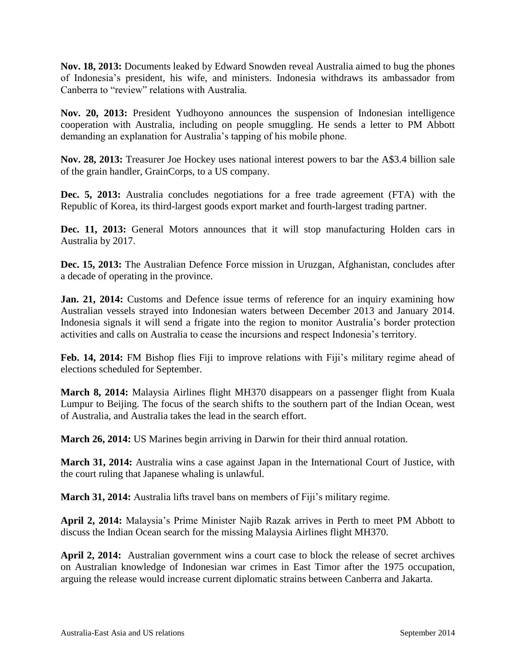**Nov. 18, 2013:** Documents leaked by Edward Snowden reveal Australia aimed to bug the phones of Indonesia"s president, his wife, and ministers. Indonesia withdraws its ambassador from Canberra to "review" relations with Australia.

**Nov. 20, 2013:** President Yudhoyono announces the suspension of Indonesian intelligence cooperation with Australia, including on people smuggling. He sends a letter to PM Abbott demanding an explanation for Australia"s tapping of his mobile phone.

**Nov. 28, 2013:** Treasurer Joe Hockey uses national interest powers to bar the A\$3.4 billion sale of the grain handler, GrainCorps, to a US company.

**Dec. 5, 2013:** Australia concludes negotiations for a free trade agreement (FTA) with the Republic of Korea, its third-largest goods export market and fourth-largest trading partner.

**Dec. 11, 2013:** General Motors announces that it will stop manufacturing Holden cars in Australia by 2017.

**Dec. 15, 2013:** The Australian Defence Force mission in Uruzgan, Afghanistan, concludes after a decade of operating in the province.

**Jan. 21, 2014:** Customs and Defence issue terms of reference for an inquiry examining how Australian vessels strayed into Indonesian waters between December 2013 and January 2014. Indonesia signals it will send a frigate into the region to monitor Australia"s border protection activities and calls on Australia to cease the incursions and respect Indonesia"s territory.

Feb. 14, 2014: FM Bishop flies Fiji to improve relations with Fiji's military regime ahead of elections scheduled for September.

**March 8, 2014:** Malaysia Airlines flight MH370 disappears on a passenger flight from Kuala Lumpur to Beijing. The focus of the search shifts to the southern part of the Indian Ocean, west of Australia, and Australia takes the lead in the search effort.

**March 26, 2014:** US Marines begin arriving in Darwin for their third annual rotation.

**March 31, 2014:** Australia wins a case against Japan in the International Court of Justice, with the court ruling that Japanese whaling is unlawful.

**March** 31, 2014: Australia lifts travel bans on members of Fiji's military regime.

**April 2, 2014:** Malaysia"s Prime Minister Najib Razak arrives in Perth to meet PM Abbott to discuss the Indian Ocean search for the missing Malaysia Airlines flight MH370.

**April 2, 2014:** Australian government wins a court case to block the release of secret archives on Australian knowledge of Indonesian war crimes in East Timor after the 1975 occupation, arguing the release would increase current diplomatic strains between Canberra and Jakarta.